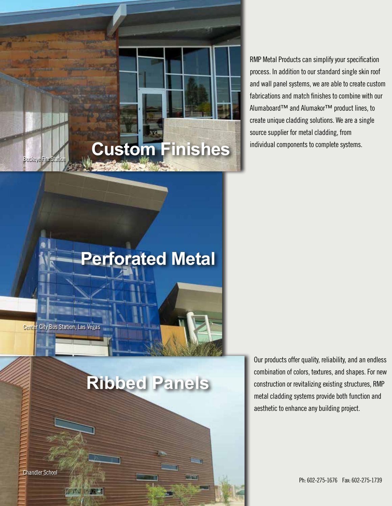RMP Metal Products can simplify your specification process. In addition to our standard single skin roof and wall panel systems, we are able to create custom fabrications and match finishes to combine with our Alumaboard™ and Alumakor™ product lines, to create unique cladding solutions. We are a single source supplier for metal cladding, from individual components to complete systems.

### **Perforated Metal**

**Custom Finishes**

Center City Bus Station, Las Vegas

Buckeye Fire Station

### **Ribbed Panels**

Our products offer quality, reliability, and an endless combination of colors, textures, and shapes. For new construction or revitalizing existing structures, RMP metal cladding systems provide both function and aesthetic to enhance any building project.

Ph: 602-275-1676 Fax: 602-275-1739

Chandler School

**70 May**